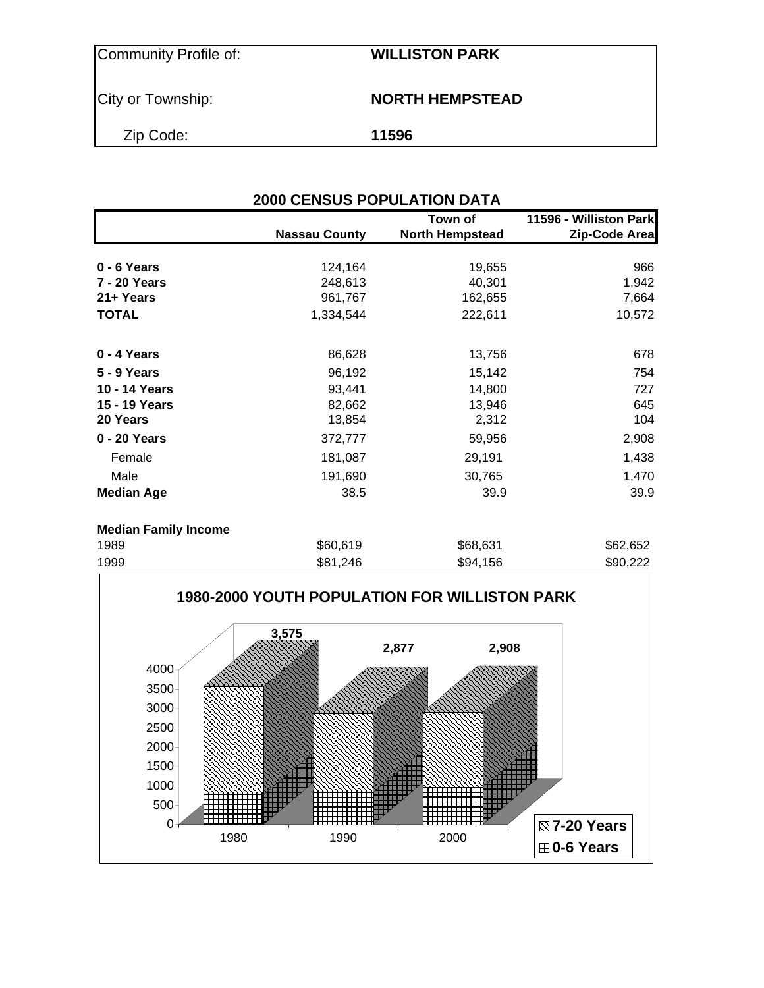City or Township: **NORTH HEMPSTEAD** 

Zip Code: **11596**

### **2000 CENSUS POPULATION DATA**

|                             |                      | Town of                | 11596 - Williston Park |
|-----------------------------|----------------------|------------------------|------------------------|
|                             | <b>Nassau County</b> | <b>North Hempstead</b> | Zip-Code Area          |
|                             |                      |                        |                        |
| $0 - 6$ Years               | 124,164              | 19,655                 | 966                    |
| 7 - 20 Years                | 248,613              | 40,301                 | 1,942                  |
| 21+ Years                   | 961,767              | 162,655                | 7,664                  |
| <b>TOTAL</b>                | 1,334,544            | 222,611                | 10,572                 |
| 0 - 4 Years                 | 86,628               | 13,756                 | 678                    |
| 5 - 9 Years                 | 96,192               | 15,142                 | 754                    |
| 10 - 14 Years               | 93,441               | 14,800                 | 727                    |
| 15 - 19 Years               | 82,662               | 13,946                 | 645                    |
| 20 Years                    | 13,854               | 2,312                  | 104                    |
| 0 - 20 Years                | 372,777              | 59,956                 | 2,908                  |
| Female                      | 181,087              | 29,191                 | 1,438                  |
| Male                        | 191,690              | 30,765                 | 1,470                  |
| <b>Median Age</b>           | 38.5                 | 39.9                   | 39.9                   |
| <b>Median Family Income</b> |                      |                        |                        |
| 1989                        | \$60,619             | \$68,631               | \$62,652               |

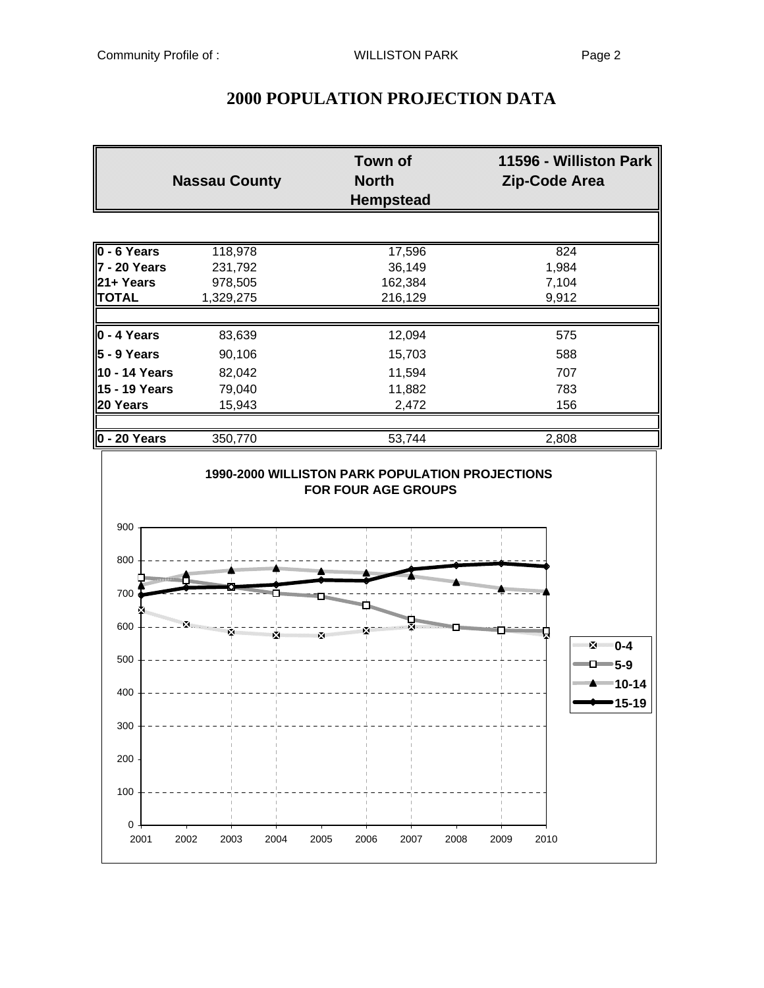|                                 | <b>Nassau County</b> | <b>Town of</b><br><b>North</b><br><b>Hempstead</b> | 11596 - Williston Park<br>Zip-Code Area |  |  |
|---------------------------------|----------------------|----------------------------------------------------|-----------------------------------------|--|--|
|                                 |                      |                                                    |                                         |  |  |
| $0 - 6$ Years                   | 118,978              | 17,596                                             | 824                                     |  |  |
| 7 - 20 Years                    | 231,792              | 36,149                                             | 1,984                                   |  |  |
| 21+ Years                       | 978,505              | 162,384                                            | 7,104                                   |  |  |
| <b>TOTAL</b>                    | 1,329,275            | 216,129                                            | 9,912                                   |  |  |
| $0 - 4$ Years                   | 83,639               | 12,094                                             | 575                                     |  |  |
| $5 - 9$ Years                   | 90,106               | 15,703                                             | 588                                     |  |  |
| 10 - 14 Years                   | 82,042               | 11,594                                             | 707                                     |  |  |
| 15 - 19 Years                   | 79,040               | 11,882                                             | 783                                     |  |  |
| 20 Years                        | 15,943               | 2,472                                              | 156                                     |  |  |
| $0 - 20$ Years                  | 350,770              | 53,744                                             | 2,808                                   |  |  |
| 900                             |                      |                                                    |                                         |  |  |
| 800                             |                      |                                                    |                                         |  |  |
| <b>SHEET OF THE REAL</b><br>700 |                      |                                                    | <b>Millimman</b>                        |  |  |
| 600                             |                      |                                                    |                                         |  |  |
| 500                             |                      |                                                    | 0-4 ⊉<br>$\Box$ 5-9                     |  |  |
| 400                             |                      |                                                    | <b>EXAMPLE 2014</b><br>15-19            |  |  |
| 300                             |                      |                                                    |                                         |  |  |
| 200                             |                      |                                                    |                                         |  |  |
| 100                             |                      |                                                    |                                         |  |  |
| 0<br>2001                       | 2004<br>2002<br>2003 | 2005<br>2006<br>2007<br>2008                       | 2010<br>2009                            |  |  |

# **2000 POPULATION PROJECTION DATA**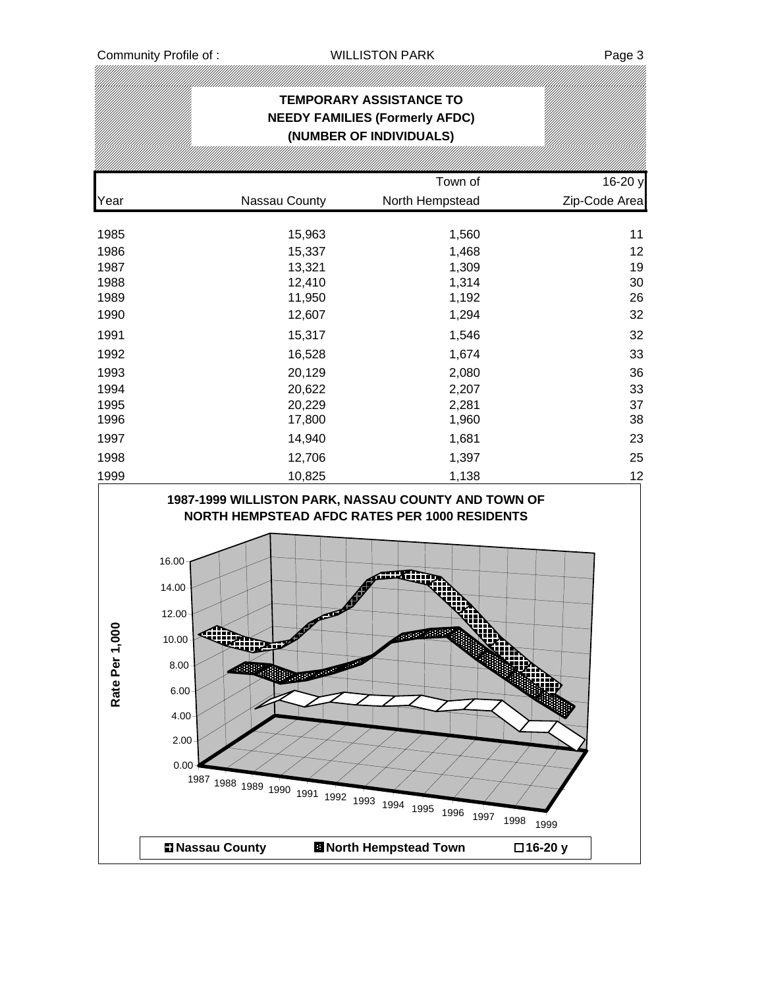# **TEMPORARY ASSISTANCE TO NEEDY FAMILIES (Formerly AFDC) (NUMBER OF INDIVIDUALS)** Town of 16-20 y Year Nassau County North Hempstead Zip-Code Area 1985 15,963 1,560 11 1986 15,337 1,468 12 1987 13,321 1,309 19 1988 12,410 1,314 30 1989 11,950 1,192 26 1990 12,607 1,294 32 1991 15,317 1,546 32 1992 16,528 1,674 33 1993 20,129 2,080 36 1994 20,622 2,207 33 1995 20,229 2,281 37 1996 17,800 1,960 38 1997 14,940 1,681 23 1998 12,706 1,397 25 1999 10,825 1,138 12 **1987-1999 WILLISTON PARK, NASSAU COUNTY AND TOWN OF NORTH HEMPSTEAD AFDC RATES PER 1000 RESIDENTS** 16.00 14.00 12.00 Rate Per 1,000 **Rate Per 1,000**in<br>Väl 10.00 m 8.00 6.00 4.00 2.00 0.00 <sup>1987</sup> <sup>1988</sup> <sup>1989</sup> <sup>1990</sup> <sup>1991</sup> <sup>1992</sup> <sup>1993</sup> <sup>1994</sup> <sup>1995</sup> <sup>1996</sup> <sup>1997</sup> <sup>1998</sup> <sup>1999</sup> **Nassau County North Hempstead Town 16-20 y**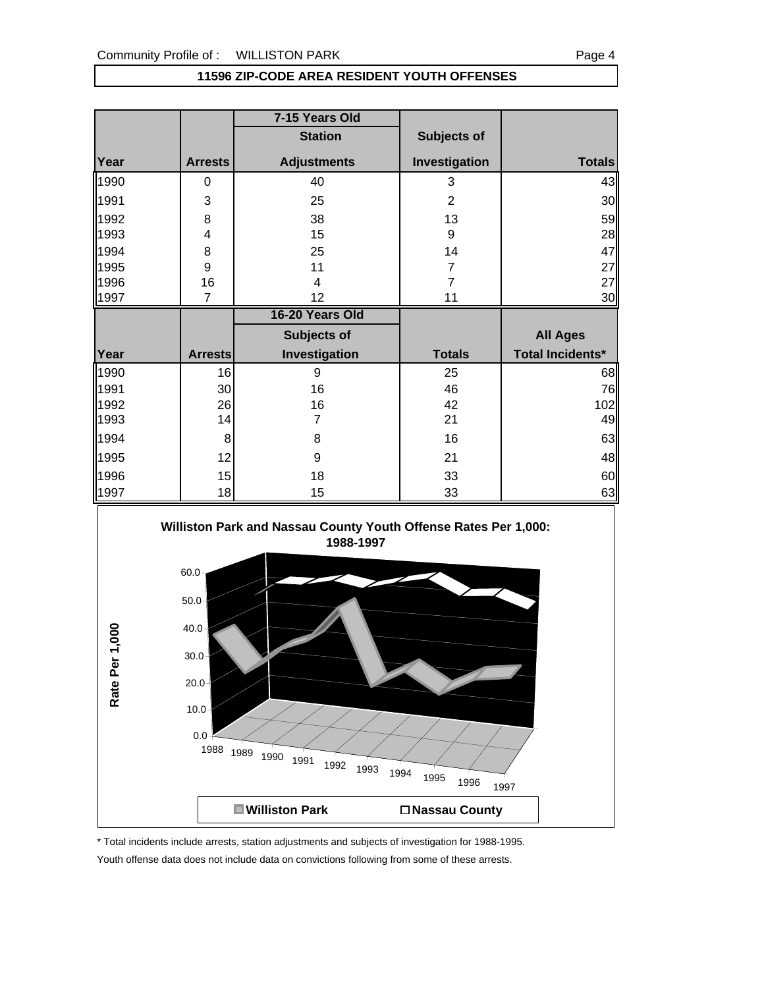|              |                | 7-15 Years Old     |                |                         |
|--------------|----------------|--------------------|----------------|-------------------------|
|              |                | <b>Station</b>     | Subjects of    |                         |
| Year         | <b>Arrests</b> | <b>Adjustments</b> | Investigation  | <b>Totals</b>           |
| 1990         | 0              | 40                 | 3              | 43                      |
| 1991         | 3              | 25                 | $\overline{2}$ | 30                      |
| 1992         | 8              | 38                 | 13             | 59                      |
| 1993         | 4              | 15                 | 9              | 28                      |
| 1994         | 8              | 25                 | 14             | 47                      |
| 1995         | 9              | 11                 | $\overline{7}$ | 27                      |
| 1996         | 16             | 4                  | $\overline{7}$ | 27                      |
| 1997         | 7              | 12                 | 11             | 30                      |
|              |                |                    |                |                         |
|              |                | 16-20 Years Old    |                |                         |
|              |                | Subjects of        |                | <b>All Ages</b>         |
|              | <b>Arrests</b> | Investigation      | <b>Totals</b>  | <b>Total Incidents*</b> |
| Year<br>1990 | 16             | 9                  | 25             | 68                      |
| 1991         | 30             | 16                 | 46             | 76                      |
| 1992         | 26             | 16                 | 42             | 102                     |
| 1993         | 14             | $\overline{7}$     | 21             | 49                      |
| 1994         | 8              | 8                  | 16             | 63                      |
| 1995         | 12             | 9                  | 21             | 48                      |

### **11596 ZIP-CODE AREA RESIDENT YOUTH OFFENSES**



1997 | 18 | 15 | 33 | 63

\* Total incidents include arrests, station adjustments and subjects of investigation for 1988-1995.

Youth offense data does not include data on convictions following from some of these arrests.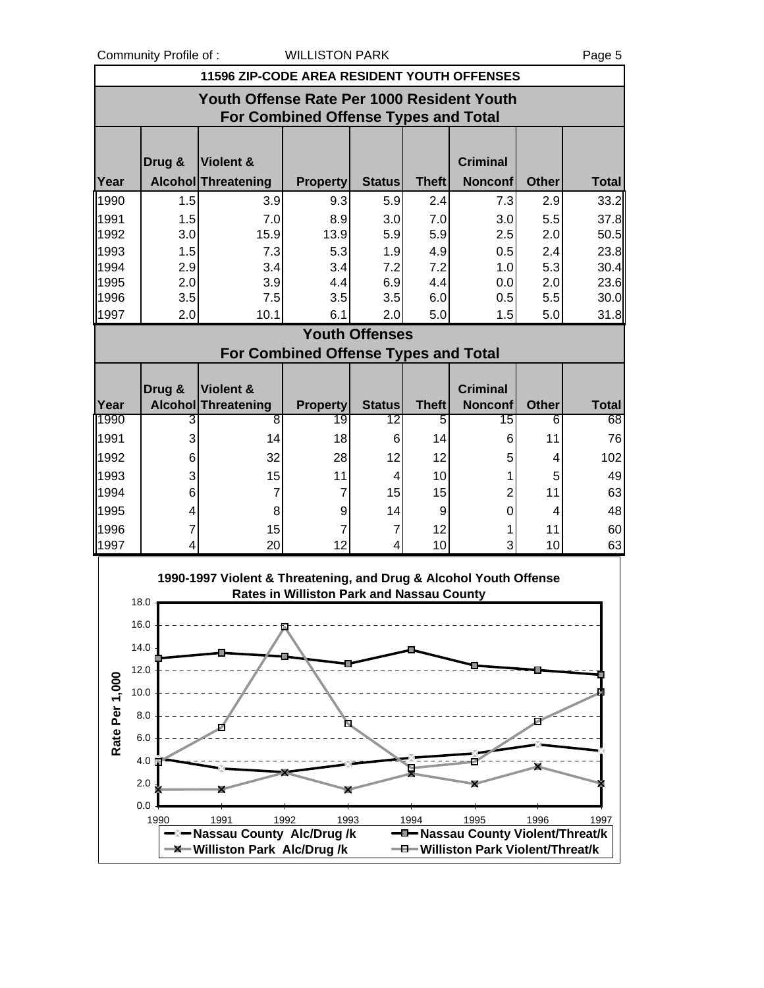|                |                                                                                           | 11596 ZIP-CODE AREA RESIDENT YOUTH OFFENSES                       |                                                  |                       |              |                                    |              |              |  |  |
|----------------|-------------------------------------------------------------------------------------------|-------------------------------------------------------------------|--------------------------------------------------|-----------------------|--------------|------------------------------------|--------------|--------------|--|--|
|                | Youth Offense Rate Per 1000 Resident Youth<br><b>For Combined Offense Types and Total</b> |                                                                   |                                                  |                       |              |                                    |              |              |  |  |
|                |                                                                                           |                                                                   |                                                  |                       |              |                                    |              |              |  |  |
|                | Drug &                                                                                    | <b>Violent &amp;</b>                                              |                                                  |                       |              | <b>Criminal</b>                    |              |              |  |  |
| Year           |                                                                                           | Alcohol Threatening                                               | <b>Property</b>                                  | <b>Status</b>         | <b>Theft</b> | <b>Nonconf</b>                     | <b>Other</b> | <b>Total</b> |  |  |
| 1990           | 1.5                                                                                       | 3.9                                                               | 9.3                                              | 5.9                   | 2.4          | 7.3                                | 2.9          | 33.2         |  |  |
| 1991           | 1.5                                                                                       | 7.0                                                               | 8.9                                              | 3.0                   | 7.0          | 3.0                                | 5.5          | 37.8         |  |  |
| 1992           | 3.0                                                                                       | 15.9                                                              | 13.9                                             | 5.9                   | 5.9          | 2.5                                | 2.0          | 50.5         |  |  |
| 1993<br>1994   | 1.5                                                                                       | 7.3                                                               | 5.3                                              | 1.9<br>7.2            | 4.9<br>7.2   | 0.5                                | 2.4          | 23.8         |  |  |
| 1995           | 2.9<br>2.0                                                                                | 3.4<br>3.9                                                        | 3.4<br>4.4                                       | 6.9                   | 4.4          | 1.0<br>0.0                         | 5.3<br>2.0   | 30.4<br>23.6 |  |  |
| 1996           | 3.5                                                                                       | 7.5                                                               | 3.5                                              | 3.5                   | 6.0          | 0.5                                | 5.5          | 30.0         |  |  |
| 1997           | 2.0                                                                                       | 10.1                                                              | 6.1                                              | 2.0                   | 5.0          | 1.5                                | 5.0          | 31.8         |  |  |
|                |                                                                                           |                                                                   |                                                  | <b>Youth Offenses</b> |              |                                    |              |              |  |  |
|                |                                                                                           |                                                                   | <b>For Combined Offense Types and Total</b>      |                       |              |                                    |              |              |  |  |
|                |                                                                                           |                                                                   |                                                  |                       |              |                                    |              |              |  |  |
| Year           | Drug &<br><b>Alcohol</b>                                                                  | Violent &<br>Threatening                                          | <b>Property</b>                                  | <b>Status</b>         | <b>Theft</b> | <b>Criminal</b><br><b>Nonconf</b>  | <b>Other</b> | <b>Total</b> |  |  |
| 1990           | 3                                                                                         | 8                                                                 | 19                                               | 12                    | 5            | 15                                 | 6            | 68           |  |  |
| 1991           | 3                                                                                         | 14                                                                | 18                                               | 6                     | 14           | 6                                  | 11           | 76           |  |  |
| 1992           | 6                                                                                         | 32                                                                | 28                                               | 12                    | 12           | 5                                  | 4            | 102          |  |  |
| 1993           | 3                                                                                         | 15                                                                | 11                                               | 4                     | 10           | 1                                  | 5            | 49           |  |  |
| 1994           | 6                                                                                         | $\overline{7}$                                                    | 7                                                | 15                    | 15           | $\overline{2}$                     | 11           | 63           |  |  |
| 1995           | 4                                                                                         | 8                                                                 | 9                                                | 14                    | 9            | $\mathbf 0$                        | 4            | 48           |  |  |
| 1996           | 7                                                                                         | 15                                                                | 7                                                | 7                     | 12           | 1                                  | 11           | 60           |  |  |
| 1997           | 4                                                                                         | 20                                                                | 12                                               | 4                     | 10           | 3                                  | 10           | 63           |  |  |
|                |                                                                                           | 1990-1997 Violent & Threatening, and Drug & Alcohol Youth Offense |                                                  |                       |              |                                    |              |              |  |  |
|                | 18.0                                                                                      |                                                                   | <b>Rates in Williston Park and Nassau County</b> |                       |              |                                    |              |              |  |  |
|                | 16.0                                                                                      |                                                                   |                                                  |                       |              |                                    |              |              |  |  |
|                | 14.0                                                                                      |                                                                   |                                                  |                       |              |                                    |              |              |  |  |
|                |                                                                                           |                                                                   |                                                  |                       |              |                                    |              |              |  |  |
|                | 12.0                                                                                      |                                                                   |                                                  |                       |              |                                    |              |              |  |  |
|                | 10.0                                                                                      |                                                                   |                                                  |                       |              |                                    |              |              |  |  |
|                | 8.0                                                                                       |                                                                   | N.                                               |                       |              |                                    |              |              |  |  |
| Rate Per 1,000 | 6.0                                                                                       |                                                                   |                                                  |                       |              |                                    |              |              |  |  |
|                | $4.0 \ge$                                                                                 |                                                                   |                                                  |                       |              |                                    |              |              |  |  |
|                | 2.0;                                                                                      |                                                                   |                                                  |                       |              |                                    |              |              |  |  |
|                | 0.0                                                                                       |                                                                   |                                                  |                       |              |                                    |              |              |  |  |
|                | 1990                                                                                      | 1991                                                              | 1992<br>1993                                     |                       | 1994         | 1995                               | 1996         | 1997         |  |  |
|                |                                                                                           | –⊠– Nassau County Alc/Drug /k                                     |                                                  |                       |              | -D-Nassau County Violent/Threat/k  |              |              |  |  |
|                |                                                                                           | <b>-X</b> Williston Park Alc/Drug/k                               |                                                  |                       |              | -0 Williston Park Violent/Threat/k |              |              |  |  |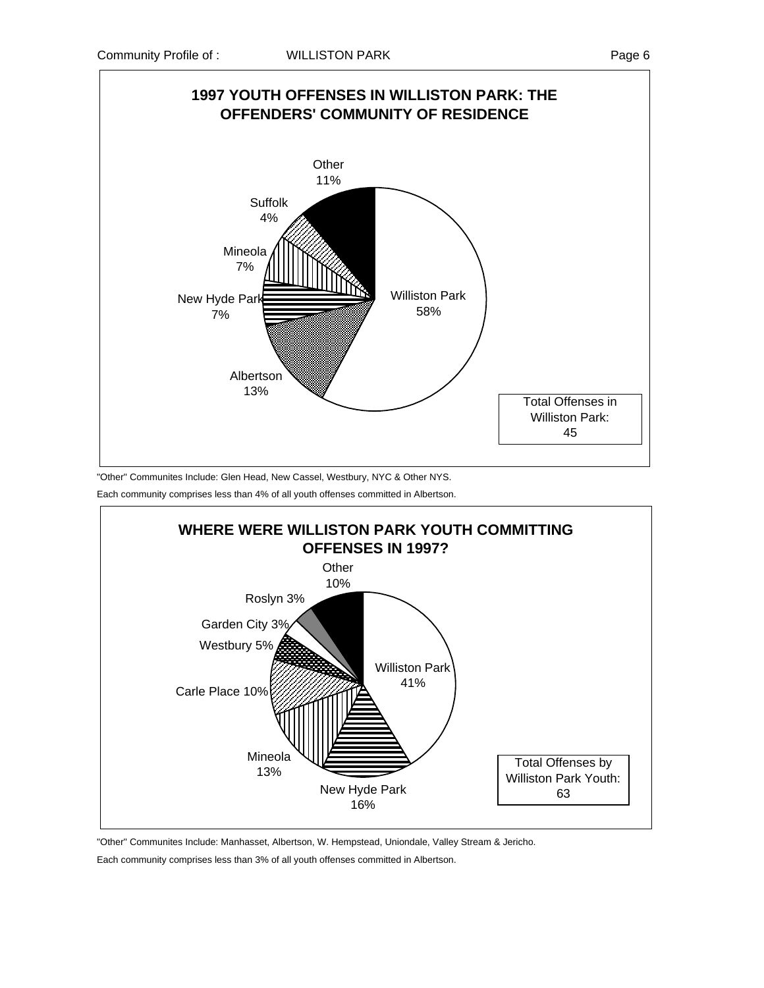

"Other" Communites Include: Glen Head, New Cassel, Westbury, NYC & Other NYS.

Each community comprises less than 4% of all youth offenses committed in Albertson.



"Other" Communites Include: Manhasset, Albertson, W. Hempstead, Uniondale, Valley Stream & Jericho.

Each community comprises less than 3% of all youth offenses committed in Albertson.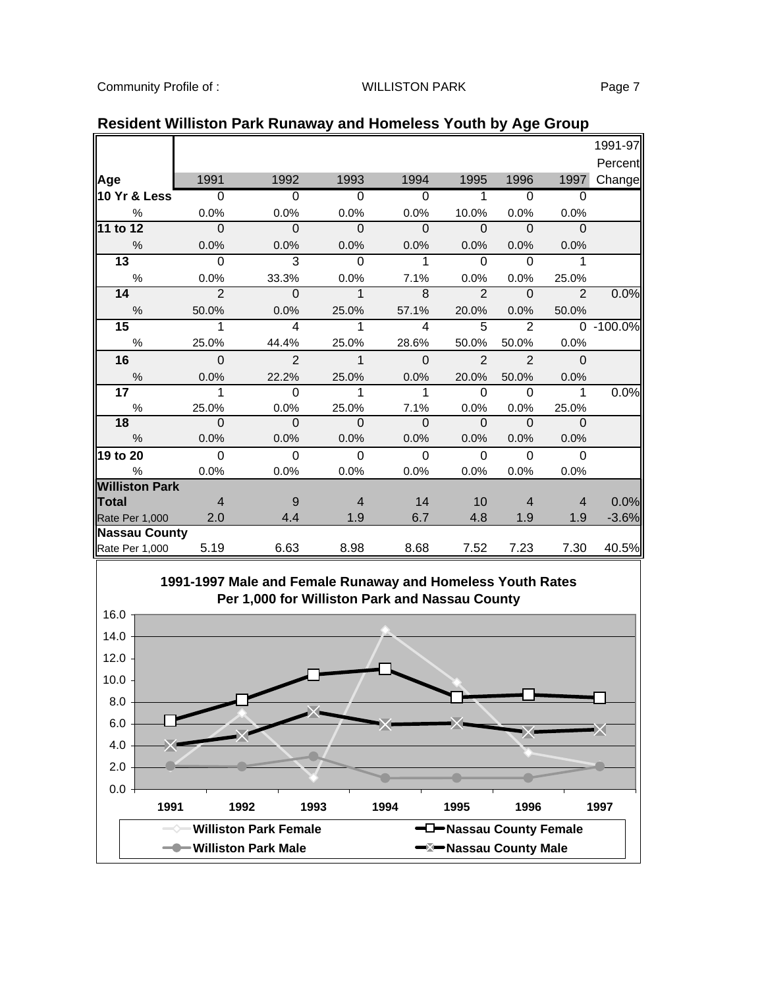|                       |                |                |                |                |                |                |                | 1991-97       |
|-----------------------|----------------|----------------|----------------|----------------|----------------|----------------|----------------|---------------|
|                       |                |                |                |                |                |                |                | Percent       |
|                       | 1991           | 1992           | 1993           | 1994           | 1995           | 1996           | 1997           |               |
| Age                   | $\overline{0}$ | $\overline{0}$ | $\overline{0}$ | $\Omega$       | 1              | $\overline{0}$ | $\Omega$       | Change        |
| 10 Yr & Less          |                |                |                |                |                |                |                |               |
| $\%$                  | 0.0%           | 0.0%           | 0.0%           | 0.0%           | 10.0%          | 0.0%           | 0.0%           |               |
| 11 to 12              | $\mathbf 0$    | $\mathbf 0$    | $\mathbf{0}$   | $\mathbf 0$    | $\mathbf 0$    | $\mathbf 0$    | $\mathbf 0$    |               |
| $\frac{0}{0}$         | 0.0%           | 0.0%           | 0.0%           | 0.0%           | 0.0%           | 0.0%           | 0.0%           |               |
| 13                    | $\overline{0}$ | 3              | $\Omega$       |                | $\Omega$       | $\overline{0}$ | 1              |               |
| %                     | 0.0%           | 33.3%          | 0.0%           | 7.1%           | 0.0%           | 0.0%           | 25.0%          |               |
| 14                    | $\overline{2}$ | $\Omega$       | $\mathbf 1$    | 8              | $\overline{2}$ | $\mathbf{0}$   | $\overline{2}$ | 0.0%          |
| $\frac{0}{0}$         | 50.0%          | 0.0%           | 25.0%          | 57.1%          | 20.0%          | 0.0%           | 50.0%          |               |
| 15                    | 1              | $\overline{4}$ | 1              | $\overline{4}$ | 5              | $\overline{2}$ |                | $0 - 100.0\%$ |
| $\%$                  | 25.0%          | 44.4%          | 25.0%          | 28.6%          | 50.0%          | 50.0%          | 0.0%           |               |
| 16                    | $\mathbf 0$    | $\overline{2}$ | $\mathbf 1$    | $\Omega$       | $\overline{2}$ | $\mathcal{P}$  | $\Omega$       |               |
| $\frac{0}{0}$         | 0.0%           | 22.2%          | 25.0%          | 0.0%           | 20.0%          | 50.0%          | 0.0%           |               |
| 17                    | 1              | $\Omega$       | 1              | 1              | $\Omega$       | $\Omega$       | 1              | 0.0%          |
| $\frac{0}{0}$         | 25.0%          | 0.0%           | 25.0%          | 7.1%           | 0.0%           | 0.0%           | 25.0%          |               |
| 18                    | $\Omega$       | $\Omega$       | $\Omega$       | $\Omega$       | $\Omega$       | $\Omega$       | $\Omega$       |               |
| %                     | 0.0%           | 0.0%           | 0.0%           | 0.0%           | 0.0%           | 0.0%           | 0.0%           |               |
| 19 to 20              | $\Omega$       | $\Omega$       | $\Omega$       | $\Omega$       | $\Omega$       | $\Omega$       | $\Omega$       |               |
| $\%$                  | 0.0%           | 0.0%           | 0.0%           | 0.0%           | 0.0%           | 0.0%           | 0.0%           |               |
| <b>Williston Park</b> |                |                |                |                |                |                |                |               |
| <b>Total</b>          | $\overline{4}$ | 9              | $\overline{4}$ | 14             | 10             | $\overline{4}$ | 4              | 0.0%          |
| Rate Per 1,000        | 2.0            | 4.4            | 1.9            | 6.7            | 4.8            | 1.9            | 1.9            | $-3.6%$       |
| <b>Nassau County</b>  |                |                |                |                |                |                |                |               |
| Rate Per 1,000        | 5.19           | 6.63           | 8.98           | 8.68           | 7.52           | 7.23           | 7.30           | 40.5%         |

### **Resident Williston Park Runaway and Homeless Youth by Age Group**

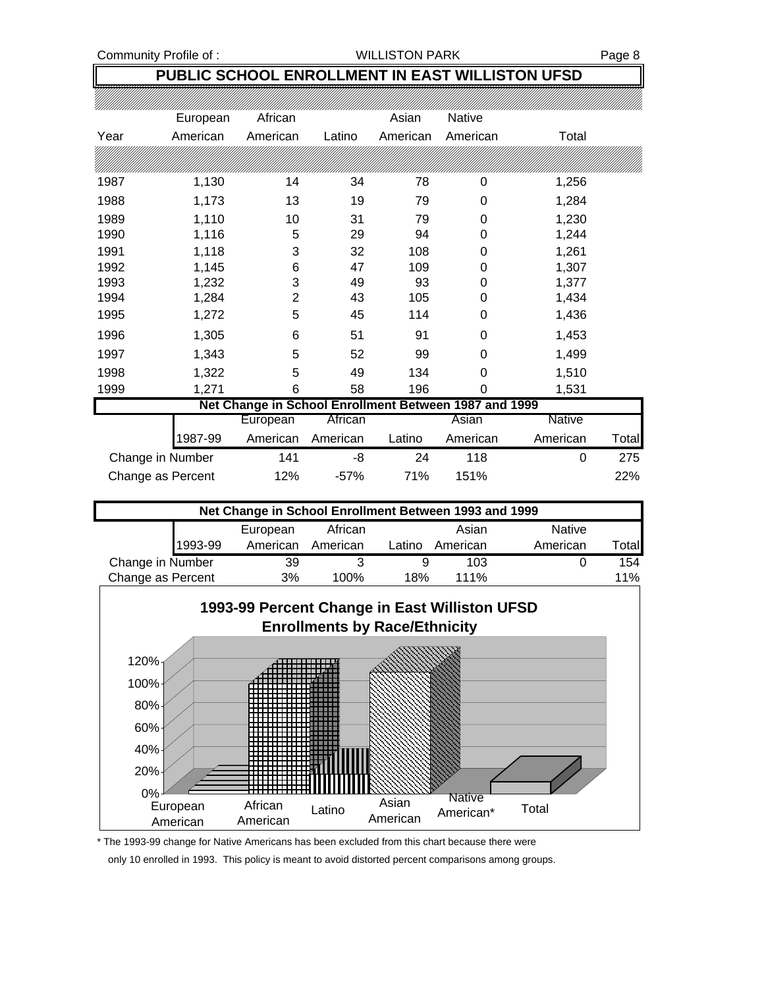### **PUBLIC SCHOOL ENROLLMENT IN EAST WILLISTON UFSD**

|      | European | African                                               |        | Asian    | <b>Native</b> |       |
|------|----------|-------------------------------------------------------|--------|----------|---------------|-------|
| Year | American | American                                              | Latino | American | American      | Total |
|      |          |                                                       |        |          |               |       |
|      |          |                                                       |        |          |               |       |
| 1987 | 1,130    | 14                                                    | 34     | 78       | 0             | 1,256 |
| 1988 | 1,173    | 13                                                    | 19     | 79       | 0             | 1,284 |
| 1989 | 1,110    | 10                                                    | 31     | 79       | 0             | 1,230 |
| 1990 | 1,116    | 5                                                     | 29     | 94       | 0             | 1,244 |
| 1991 | 1,118    | 3                                                     | 32     | 108      | 0             | 1,261 |
| 1992 | 1,145    | 6                                                     | 47     | 109      | 0             | 1,307 |
| 1993 | 1,232    | 3                                                     | 49     | 93       | 0             | 1,377 |
| 1994 | 1,284    | 2                                                     | 43     | 105      | 0             | 1,434 |
| 1995 | 1,272    | 5                                                     | 45     | 114      | 0             | 1,436 |
| 1996 | 1,305    | 6                                                     | 51     | 91       | 0             | 1,453 |
| 1997 | 1,343    | 5                                                     | 52     | 99       | 0             | 1,499 |
| 1998 | 1,322    | 5                                                     | 49     | 134      | 0             | 1,510 |
| 1999 | 1,271    | 6                                                     | 58     | 196      | 0             | 1,531 |
|      |          | Net Change in School Enrollment Between 1987 and 1999 |        |          |               |       |

|                   |         | European | African           |        | Asian    | <b>Native</b> |              |
|-------------------|---------|----------|-------------------|--------|----------|---------------|--------------|
|                   | 1987-99 |          | American American | Latino | American | American      | <b>Total</b> |
| Change in Number  |         | 141      | -8                | 24     | 118      |               | 275.         |
| Change as Percent |         | 12%      | $-57%$            | 71%    | 151%     |               | 22%          |

| Net Change in School Enrollment Between 1993 and 1999 |         |          |          |        |          |               |        |
|-------------------------------------------------------|---------|----------|----------|--------|----------|---------------|--------|
|                                                       |         | European | African  |        | Asian    | <b>Native</b> |        |
|                                                       | 1993-99 | American | American | Latino | American | American      | Totall |
| Change in Number                                      |         | 39       |          |        | 103      |               | 154    |
| Change as Percent                                     |         | 3%       | 100%     | 18%    | 111%     |               | $11\%$ |



\* The 1993-99 change for Native Americans has been excluded from this chart because there were

only 10 enrolled in 1993. This policy is meant to avoid distorted percent comparisons among groups.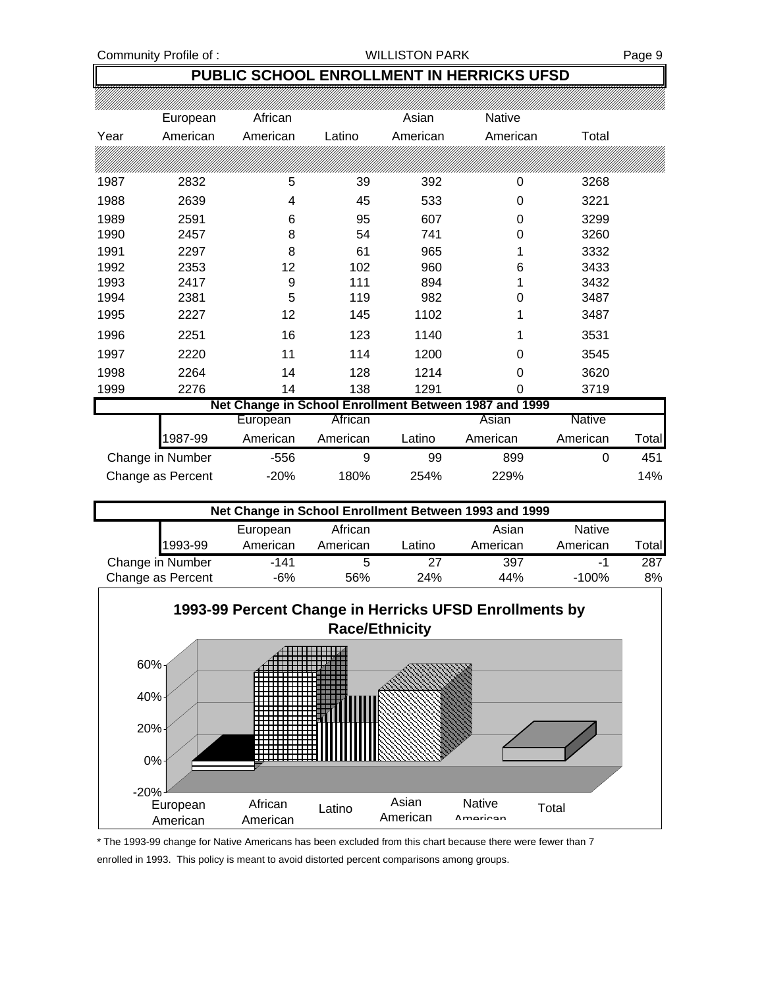### **PUBLIC SCHOOL ENROLLMENT IN HERRICKS UFSD**

|      | European          | African  |          | Asian    | <b>Native</b>                                         |          |       |
|------|-------------------|----------|----------|----------|-------------------------------------------------------|----------|-------|
| Year | American          | American | Latino   | American | American                                              | Total    |       |
|      |                   |          |          |          |                                                       |          |       |
| 1987 | 2832              | 5        | 39       | 392      | 0                                                     | 3268     |       |
| 1988 | 2639              | 4        | 45       | 533      | 0                                                     | 3221     |       |
| 1989 | 2591              | 6        | 95       | 607      | 0                                                     | 3299     |       |
| 1990 | 2457              | 8        | 54       | 741      | 0                                                     | 3260     |       |
| 1991 | 2297              | 8        | 61       | 965      |                                                       | 3332     |       |
| 1992 | 2353              | 12       | 102      | 960      | 6                                                     | 3433     |       |
| 1993 | 2417              | 9        | 111      | 894      |                                                       | 3432     |       |
| 1994 | 2381              | 5        | 119      | 982      | 0                                                     | 3487     |       |
| 1995 | 2227              | 12       | 145      | 1102     |                                                       | 3487     |       |
| 1996 | 2251              | 16       | 123      | 1140     | 1                                                     | 3531     |       |
| 1997 | 2220              | 11       | 114      | 1200     | 0                                                     | 3545     |       |
| 1998 | 2264              | 14       | 128      | 1214     | 0                                                     | 3620     |       |
| 1999 | 2276              | 14       | 138      | 1291     | 0                                                     | 3719     |       |
|      |                   |          |          |          | Net Change in School Enrollment Between 1987 and 1999 |          |       |
|      |                   | European | African  |          | Asian                                                 | Native   |       |
|      | 1987-99           | American | American | Latino   | American                                              | American | Total |
|      | Change in Number  | $-556$   | 9        | 99       | 899                                                   | 0        | 451   |
|      | Change as Percent | $-20%$   | 180%     | 254%     | 229%                                                  |          | 14%   |

| Net Change in School Enrollment Between 1993 and 1999 |          |          |        |          |               |       |  |
|-------------------------------------------------------|----------|----------|--------|----------|---------------|-------|--|
|                                                       | European | African  |        | Asian    | <b>Native</b> |       |  |
| 1993-99                                               | American | American | Latino | American | American      | Total |  |
| Change in Number                                      | $-141$   |          | 27     | 397      |               | 287   |  |
| Change as Percent                                     | -6%      | 56%      | 24%    | 44%      | $-100%$       | 8%    |  |



\* The 1993-99 change for Native Americans has been excluded from this chart because there were fewer than 7

enrolled in 1993. This policy is meant to avoid distorted percent comparisons among groups.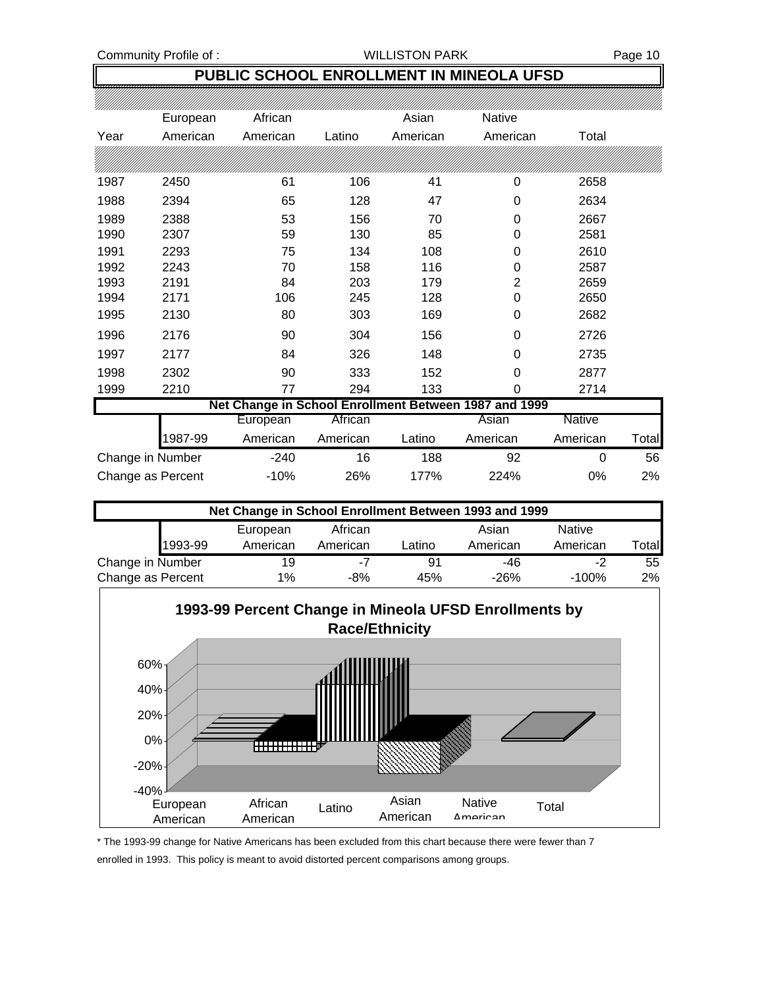### **PUBLIC SCHOOL ENROLLMENT IN MINEOLA UFSD**

|                  | European | African  |          | Asian    | Native                                                |               |       |
|------------------|----------|----------|----------|----------|-------------------------------------------------------|---------------|-------|
| Year             | American | American | Latino   | American | American                                              | Total         |       |
|                  |          |          |          |          |                                                       |               |       |
| 1987             | 2450     | 61       | 106      | 41       | 0                                                     | 2658          |       |
| 1988             | 2394     | 65       | 128      | 47       | 0                                                     | 2634          |       |
| 1989             | 2388     | 53       | 156      | 70       | 0                                                     | 2667          |       |
| 1990             | 2307     | 59       | 130      | 85       | 0                                                     | 2581          |       |
| 1991             | 2293     | 75       | 134      | 108      | 0                                                     | 2610          |       |
| 1992             | 2243     | 70       | 158      | 116      | 0                                                     | 2587          |       |
| 1993             | 2191     | 84       | 203      | 179      | 2                                                     | 2659          |       |
| 1994             | 2171     | 106      | 245      | 128      | 0                                                     | 2650          |       |
| 1995             | 2130     | 80       | 303      | 169      | 0                                                     | 2682          |       |
| 1996             | 2176     | 90       | 304      | 156      | 0                                                     | 2726          |       |
| 1997             | 2177     | 84       | 326      | 148      | 0                                                     | 2735          |       |
| 1998             | 2302     | 90       | 333      | 152      | $\Omega$                                              | 2877          |       |
| 1999             | 2210     | 77       | 294      | 133      | 0                                                     | 2714          |       |
|                  |          |          |          |          | Net Change in School Enrollment Between 1987 and 1999 |               |       |
|                  |          | European | African  |          | Asian                                                 | <b>Native</b> |       |
|                  | 987-99   | American | American | Latino   | American                                              | American      | Total |
| Change in Number |          | $-240$   | 16       | 188      | 92                                                    | 0             | 56    |

| Net Change in School Enrollment Between 1993 and 1999 |         |          |          |        |          |               |       |
|-------------------------------------------------------|---------|----------|----------|--------|----------|---------------|-------|
|                                                       |         | European | African  |        | Asian    | <b>Native</b> |       |
|                                                       | 1993-99 | American | American | ∟atino | American | American      | Total |
| Change in Number                                      |         | 19       | -7       | -91    | -46      | -2            | 55    |
| Change as Percent                                     |         | $1\%$    | $-8%$    | 45%    | $-26%$   | $-100%$       | $2\%$ |

Change as Percent -10% 26% 177% 224% 0% 2%



\* The 1993-99 change for Native Americans has been excluded from this chart because there were fewer than 7

enrolled in 1993. This policy is meant to avoid distorted percent comparisons among groups.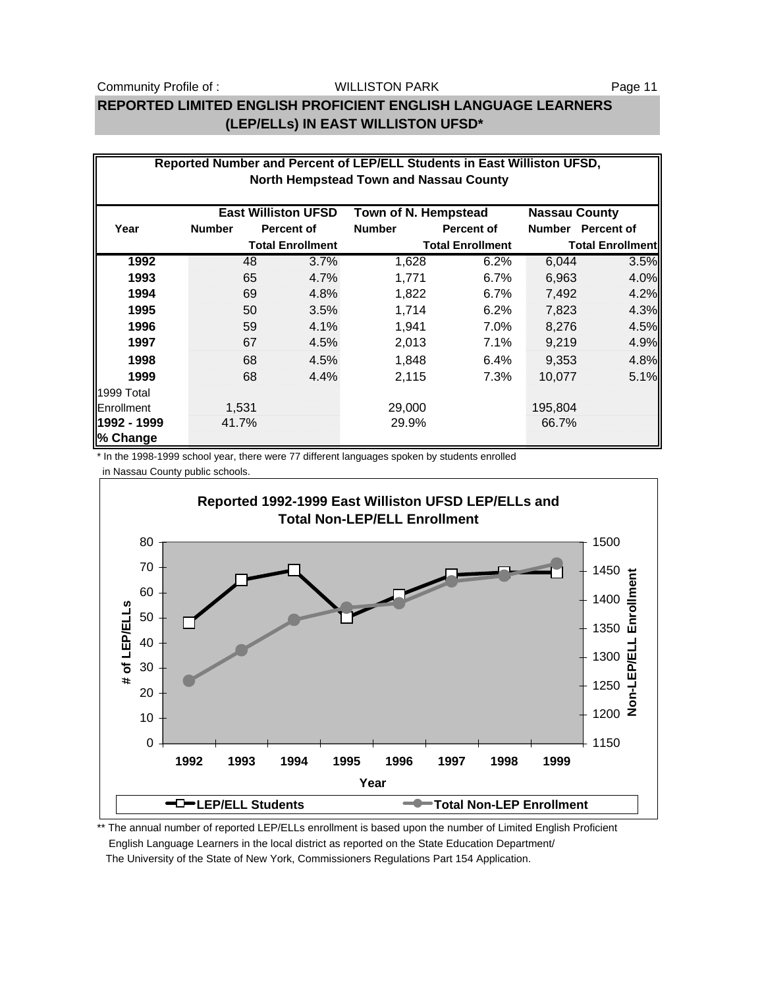### WILLISTON PARK

### **REPORTED LIMITED ENGLISH PROFICIENT ENGLISH LANGUAGE LEARNERS (LEP/ELLs) IN EAST WILLISTON UFSD\***

|                                                                            | Reported Number and Percent of LEP/ELL Students in East Williston UFSD,<br><b>North Hempstead Town and Nassau County</b> |       |                         |                         |                   |                         |                   |  |  |  |
|----------------------------------------------------------------------------|--------------------------------------------------------------------------------------------------------------------------|-------|-------------------------|-------------------------|-------------------|-------------------------|-------------------|--|--|--|
|                                                                            |                                                                                                                          |       |                         |                         |                   |                         |                   |  |  |  |
| <b>East Williston UFSD</b><br>Town of N. Hempstead<br><b>Nassau County</b> |                                                                                                                          |       |                         |                         |                   |                         |                   |  |  |  |
| Year                                                                       | <b>Number</b>                                                                                                            |       | <b>Percent of</b>       | <b>Number</b>           | <b>Percent of</b> | <b>Number</b>           | <b>Percent of</b> |  |  |  |
|                                                                            |                                                                                                                          |       | <b>Total Enrollment</b> | <b>Total Enrollment</b> |                   | <b>Total Enrollment</b> |                   |  |  |  |
| 1992                                                                       |                                                                                                                          | 48    | 3.7%                    | 1,628                   | 6.2%              | 6,044                   | 3.5%              |  |  |  |
| 1993                                                                       |                                                                                                                          | 65    | 4.7%                    | 1,771                   | 6.7%              | 6,963                   | 4.0%              |  |  |  |
| 1994                                                                       |                                                                                                                          | 69    | 4.8%                    | 1,822                   | $6.7\%$           | 7,492                   | 4.2%              |  |  |  |
| 1995                                                                       |                                                                                                                          | 50    | 3.5%                    | 1,714                   | 6.2%              | 7,823                   | 4.3%              |  |  |  |
| 1996                                                                       |                                                                                                                          | 59    | 4.1%                    | 1,941                   | 7.0%              | 8,276                   | 4.5%              |  |  |  |
| 1997                                                                       |                                                                                                                          | 67    | 4.5%                    | 2,013                   | 7.1%              | 9,219                   | 4.9%              |  |  |  |
| 1998                                                                       |                                                                                                                          | 68    | 4.5%                    | 1,848                   | 6.4%              | 9,353                   | 4.8%              |  |  |  |
| 1999                                                                       |                                                                                                                          | 68    | 4.4%                    | 2,115                   | 7.3%              | 10.077                  | 5.1%              |  |  |  |
| 1999 Total                                                                 |                                                                                                                          |       |                         |                         |                   |                         |                   |  |  |  |
| Enrollment                                                                 |                                                                                                                          | 1,531 |                         | 29,000                  |                   | 195,804                 |                   |  |  |  |
| 1992 - 1999                                                                | 41.7%                                                                                                                    |       |                         | 29.9%                   |                   | 66.7%                   |                   |  |  |  |
| % Change                                                                   |                                                                                                                          |       |                         |                         |                   |                         |                   |  |  |  |

\* In the 1998-1999 school year, there were 77 different languages spoken by students enrolled in Nassau County public schools.



\*\* The annual number of reported LEP/ELLs enrollment is based upon the number of Limited English Proficient English Language Learners in the local district as reported on the State Education Department/ The University of the State of New York, Commissioners Regulations Part 154 Application.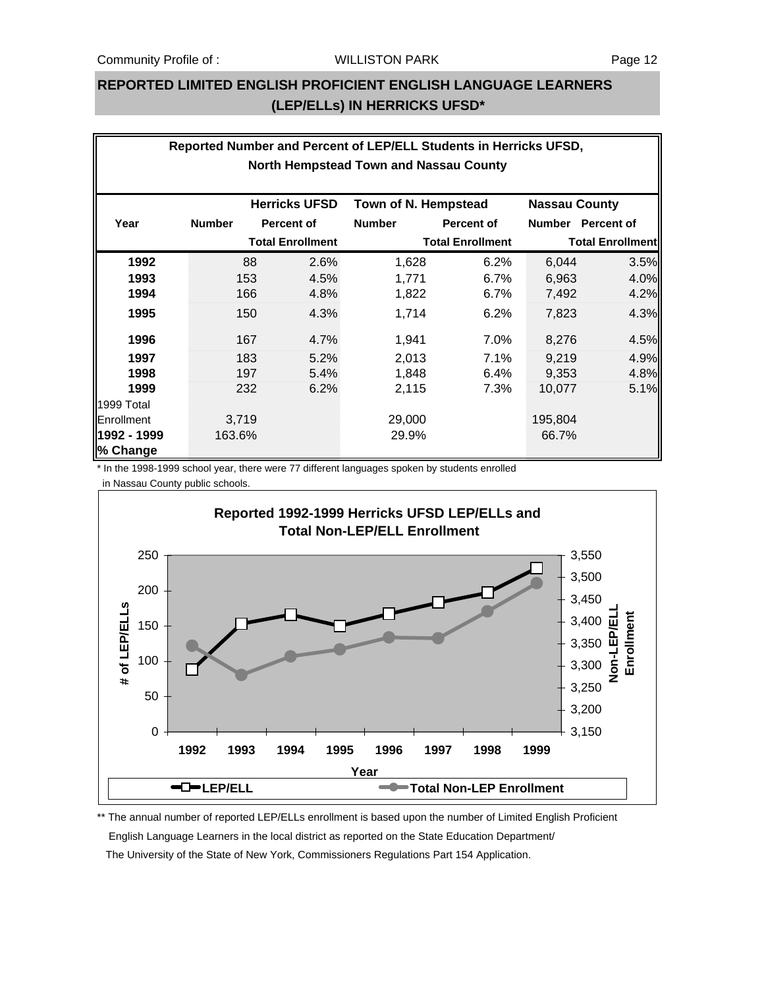### **REPORTED LIMITED ENGLISH PROFICIENT ENGLISH LANGUAGE LEARNERS (LEP/ELLs) IN HERRICKS UFSD\***

| Reported Number and Percent of LEP/ELL Students in Herricks UFSD, |                                               |                         |                      |                      |                         |                         |                   |  |  |  |  |
|-------------------------------------------------------------------|-----------------------------------------------|-------------------------|----------------------|----------------------|-------------------------|-------------------------|-------------------|--|--|--|--|
|                                                                   | <b>North Hempstead Town and Nassau County</b> |                         |                      |                      |                         |                         |                   |  |  |  |  |
|                                                                   |                                               |                         |                      |                      |                         |                         |                   |  |  |  |  |
|                                                                   |                                               |                         | <b>Herricks UFSD</b> | Town of N. Hempstead |                         | <b>Nassau County</b>    |                   |  |  |  |  |
| Year                                                              | <b>Number</b>                                 |                         | <b>Percent of</b>    | <b>Number</b>        | <b>Percent of</b>       | <b>Number</b>           | <b>Percent of</b> |  |  |  |  |
|                                                                   |                                               | <b>Total Enrollment</b> |                      |                      | <b>Total Enrollment</b> | <b>Total Enrollment</b> |                   |  |  |  |  |
| 1992                                                              |                                               | 88                      | 2.6%                 | 1,628                | 6.2%                    | 6,044                   | 3.5%              |  |  |  |  |
| 1993                                                              |                                               | 153                     | 4.5%                 | 1,771                | 6.7%                    | 6,963                   | 4.0%              |  |  |  |  |
| 1994                                                              |                                               | 166                     | 4.8%                 | 1,822                | $6.7\%$                 | 7,492                   | 4.2%              |  |  |  |  |
| 1995                                                              |                                               | 150                     | 4.3%                 | 1,714                | 6.2%                    | 7,823                   | 4.3%              |  |  |  |  |
| 1996                                                              |                                               | 167                     | 4.7%                 | 1,941                | 7.0%                    | 8,276                   | 4.5%              |  |  |  |  |
| 1997                                                              |                                               | 183                     | 5.2%                 | 2,013                | 7.1%                    | 9,219                   | 4.9%              |  |  |  |  |
| 1998                                                              |                                               | 197                     | 5.4%                 | 1,848                | 6.4%                    | 9,353                   | 4.8%              |  |  |  |  |
| 1999                                                              |                                               | 232                     | 6.2%                 | 2,115                | 7.3%                    | 10,077                  | 5.1%              |  |  |  |  |
| 1999 Total                                                        |                                               |                         |                      |                      |                         |                         |                   |  |  |  |  |
| Enrollment                                                        |                                               | 3,719                   |                      | 29,000               |                         | 195,804                 |                   |  |  |  |  |
| 1992 - 1999                                                       | 163.6%                                        |                         |                      | 29.9%                |                         | 66.7%                   |                   |  |  |  |  |
| % Change                                                          |                                               |                         |                      |                      |                         |                         |                   |  |  |  |  |

\* In the 1998-1999 school year, there were 77 different languages spoken by students enrolled

in Nassau County public schools.



\*\* The annual number of reported LEP/ELLs enrollment is based upon the number of Limited English Proficient English Language Learners in the local district as reported on the State Education Department/ The University of the State of New York, Commissioners Regulations Part 154 Application.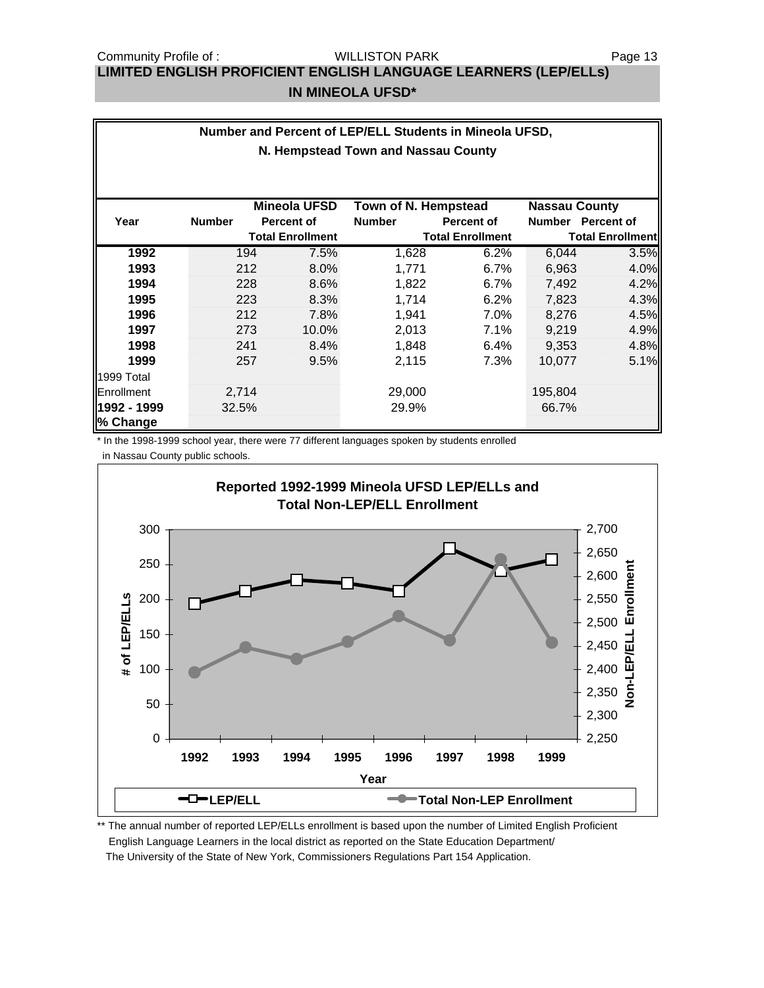WILLISTON PARK

# **LIMITED ENGLISH PROFICIENT ENGLISH LANGUAGE LEARNERS (LEP/ELLs)**

### **IN MINEOLA UFSD\***

| Number and Percent of LEP/ELL Students in Mineola UFSD, |                                     |                         |       |                      |                         |                         |                   |  |  |
|---------------------------------------------------------|-------------------------------------|-------------------------|-------|----------------------|-------------------------|-------------------------|-------------------|--|--|
|                                                         | N. Hempstead Town and Nassau County |                         |       |                      |                         |                         |                   |  |  |
|                                                         |                                     |                         |       |                      |                         |                         |                   |  |  |
|                                                         |                                     | <b>Mineola UFSD</b>     |       | Town of N. Hempstead |                         | <b>Nassau County</b>    |                   |  |  |
| Year                                                    | <b>Number</b>                       | <b>Percent of</b>       |       | <b>Number</b>        | <b>Percent of</b>       | <b>Number</b>           | <b>Percent of</b> |  |  |
|                                                         |                                     | <b>Total Enrollment</b> |       |                      | <b>Total Enrollment</b> | <b>Total Enrollment</b> |                   |  |  |
| 1992                                                    |                                     | 194                     | 7.5%  | 1,628                | 6.2%                    | 6,044                   | 3.5%              |  |  |
| 1993                                                    |                                     | 212                     | 8.0%  | 1.771                | 6.7%                    | 6,963                   | 4.0%              |  |  |
| 1994                                                    |                                     | 228                     | 8.6%  | 1,822                | 6.7%                    | 7,492                   | 4.2%              |  |  |
| 1995                                                    |                                     | 223                     | 8.3%  | 1,714                | 6.2%                    | 7,823                   | 4.3%              |  |  |
| 1996                                                    |                                     | 212                     | 7.8%  | 1,941                | 7.0%                    | 8,276                   | 4.5%              |  |  |
| 1997                                                    |                                     | 273                     | 10.0% | 2,013                | 7.1%                    | 9,219                   | 4.9%              |  |  |
| 1998                                                    |                                     | 241                     | 8.4%  | 1,848                | 6.4%                    | 9,353                   | 4.8%              |  |  |
| 1999                                                    |                                     | 257                     | 9.5%  | 2,115                | 7.3%                    | 10,077                  | 5.1%              |  |  |
| 1999 Total                                              |                                     |                         |       |                      |                         |                         |                   |  |  |
| Enrollment                                              | 2,714                               |                         |       | 29,000               |                         | 195,804                 |                   |  |  |
| 1992 - 1999                                             | 32.5%                               |                         |       | 29.9%                |                         | 66.7%                   |                   |  |  |
| % Change                                                |                                     |                         |       |                      |                         |                         |                   |  |  |

\* In the 1998-1999 school year, there were 77 different languages spoken by students enrolled in Nassau County public schools.



\*\* The annual number of reported LEP/ELLs enrollment is based upon the number of Limited English Proficient English Language Learners in the local district as reported on the State Education Department/ The University of the State of New York, Commissioners Regulations Part 154 Application.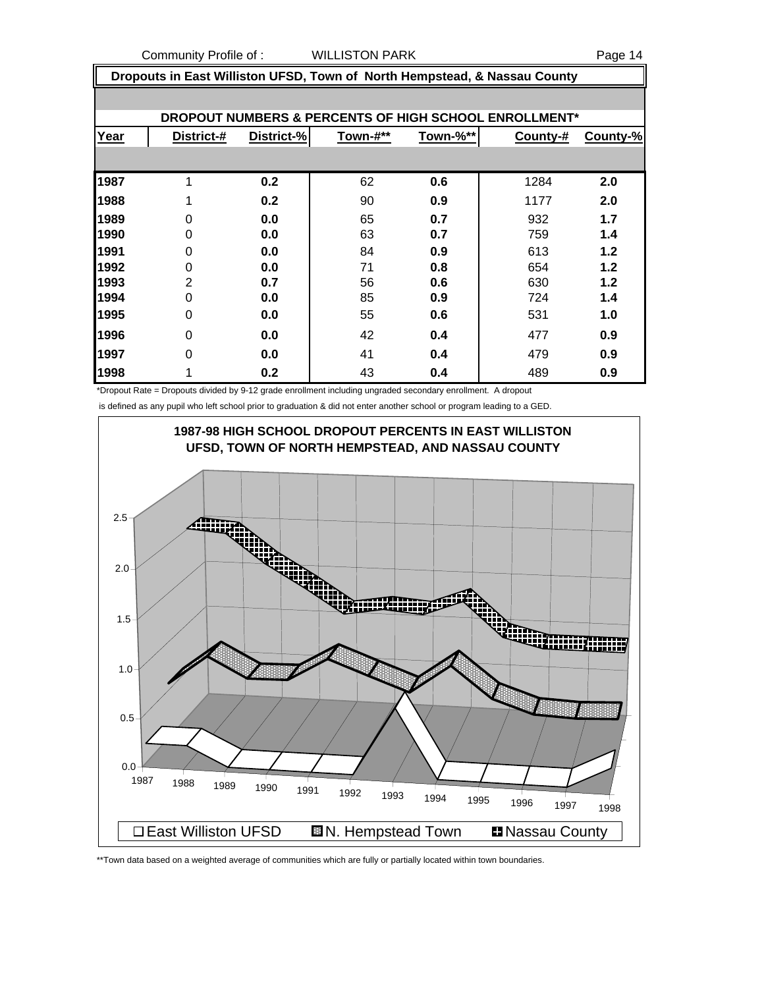|                                                       | Dropouts in East Williston UFSD, Town of North Hempstead, & Nassau County |            |          |                 |          |          |  |  |  |
|-------------------------------------------------------|---------------------------------------------------------------------------|------------|----------|-----------------|----------|----------|--|--|--|
|                                                       |                                                                           |            |          |                 |          |          |  |  |  |
| DROPOUT NUMBERS & PERCENTS OF HIGH SCHOOL ENROLLMENT* |                                                                           |            |          |                 |          |          |  |  |  |
| Year                                                  | District-#                                                                | District-% | Town-#** | <u>Town-%**</u> | County-# | County-% |  |  |  |
|                                                       |                                                                           |            |          |                 |          |          |  |  |  |
| 1987                                                  |                                                                           | 0.2        | 62       | 0.6             | 1284     | 2.0      |  |  |  |
| 1988                                                  |                                                                           | 0.2        | 90       | 0.9             | 1177     | 2.0      |  |  |  |
| 1989                                                  | 0                                                                         | 0.0        | 65       | 0.7             | 932      | 1.7      |  |  |  |
| 1990                                                  | $\Omega$                                                                  | 0.0        | 63       | 0.7             | 759      | 1.4      |  |  |  |
| 1991                                                  | 0                                                                         | 0.0        | 84       | 0.9             | 613      | 1.2      |  |  |  |
| 1992                                                  | 0                                                                         | 0.0        | 71       | 0.8             | 654      | 1.2      |  |  |  |
| 1993                                                  | $\overline{2}$                                                            | 0.7        | 56       | 0.6             | 630      | 1.2      |  |  |  |
| 1994                                                  | $\Omega$                                                                  | 0.0        | 85       | 0.9             | 724      | 1.4      |  |  |  |
| 1995                                                  | 0                                                                         | 0.0        | 55       | 0.6             | 531      | 1.0      |  |  |  |
| 1996                                                  | $\Omega$                                                                  | 0.0        | 42       | 0.4             | 477      | 0.9      |  |  |  |
| 1997                                                  | 0                                                                         | 0.0        | 41       | 0.4             | 479      | 0.9      |  |  |  |
| 1998                                                  |                                                                           | 0.2        | 43       | 0.4             | 489      | 0.9      |  |  |  |

\*Dropout Rate = Dropouts divided by 9-12 grade enrollment including ungraded secondary enrollment. A dropout

is defined as any pupil who left school prior to graduation & did not enter another school or program leading to a GED.



\*\*Town data based on a weighted average of communities which are fully or partially located within town boundaries.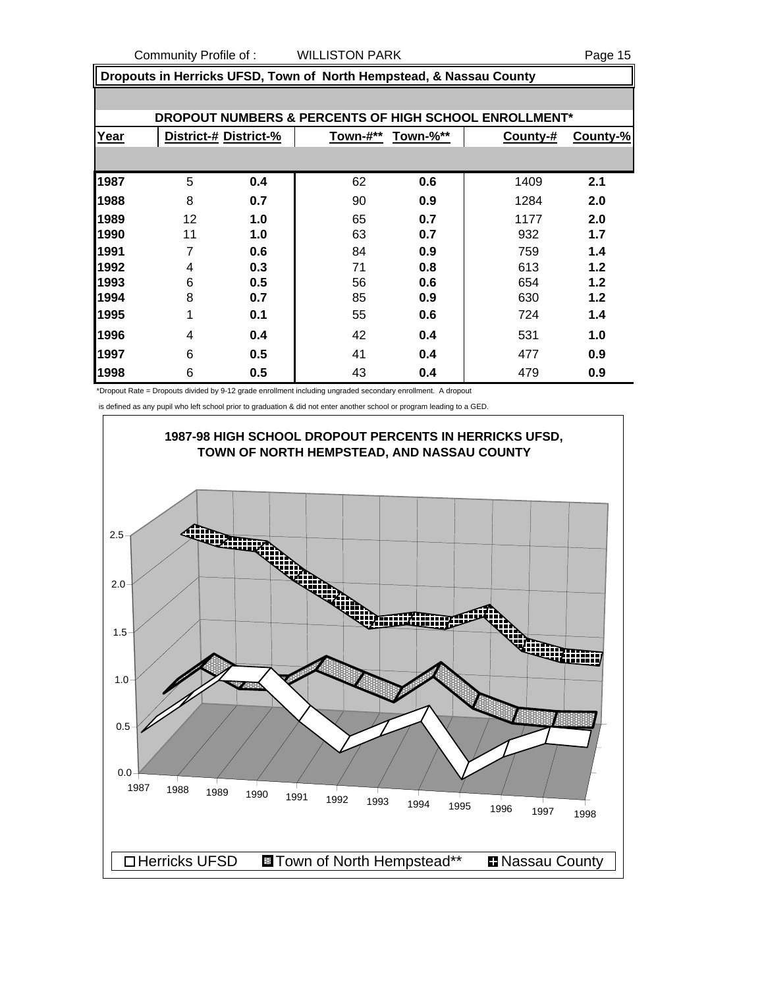|      | Dropouts in Herricks UFSD, Town of North Hempstead, & Nassau County |                       |          |          |          |          |  |  |  |  |
|------|---------------------------------------------------------------------|-----------------------|----------|----------|----------|----------|--|--|--|--|
|      |                                                                     |                       |          |          |          |          |  |  |  |  |
|      | DROPOUT NUMBERS & PERCENTS OF HIGH SCHOOL ENROLLMENT*               |                       |          |          |          |          |  |  |  |  |
| Year |                                                                     | District-# District-% | Town-#** | Town-%** | County-# | County-% |  |  |  |  |
|      |                                                                     |                       |          |          |          |          |  |  |  |  |
| 1987 | 5                                                                   | 0.4                   | 62       | 0.6      | 1409     | 2.1      |  |  |  |  |
| 1988 | 8                                                                   | 0.7                   | 90       | 0.9      | 1284     | 2.0      |  |  |  |  |
| 1989 | 12                                                                  | 1.0                   | 65       | 0.7      | 1177     | 2.0      |  |  |  |  |
| 1990 | 11                                                                  | 1.0                   | 63       | 0.7      | 932      | 1.7      |  |  |  |  |
| 1991 | $\overline{7}$                                                      | 0.6                   | 84       | 0.9      | 759      | 1.4      |  |  |  |  |
| 1992 | 4                                                                   | 0.3                   | 71       | 0.8      | 613      | 1.2      |  |  |  |  |
| 1993 | 6                                                                   | 0.5                   | 56       | 0.6      | 654      | 1.2      |  |  |  |  |
| 1994 | 8                                                                   | 0.7                   | 85       | 0.9      | 630      | 1.2      |  |  |  |  |
| 1995 | 1                                                                   | 0.1                   | 55       | 0.6      | 724      | 1.4      |  |  |  |  |
| 1996 | 4                                                                   | 0.4                   | 42       | 0.4      | 531      | 1.0      |  |  |  |  |
| 1997 | 6                                                                   | 0.5                   | 41       | 0.4      | 477      | 0.9      |  |  |  |  |
| 1998 | 6                                                                   | 0.5                   | 43       | 0.4      | 479      | 0.9      |  |  |  |  |

\*Dropout Rate = Dropouts divided by 9-12 grade enrollment including ungraded secondary enrollment. A dropout

is defined as any pupil who left school prior to graduation & did not enter another school or program leading to a GED.

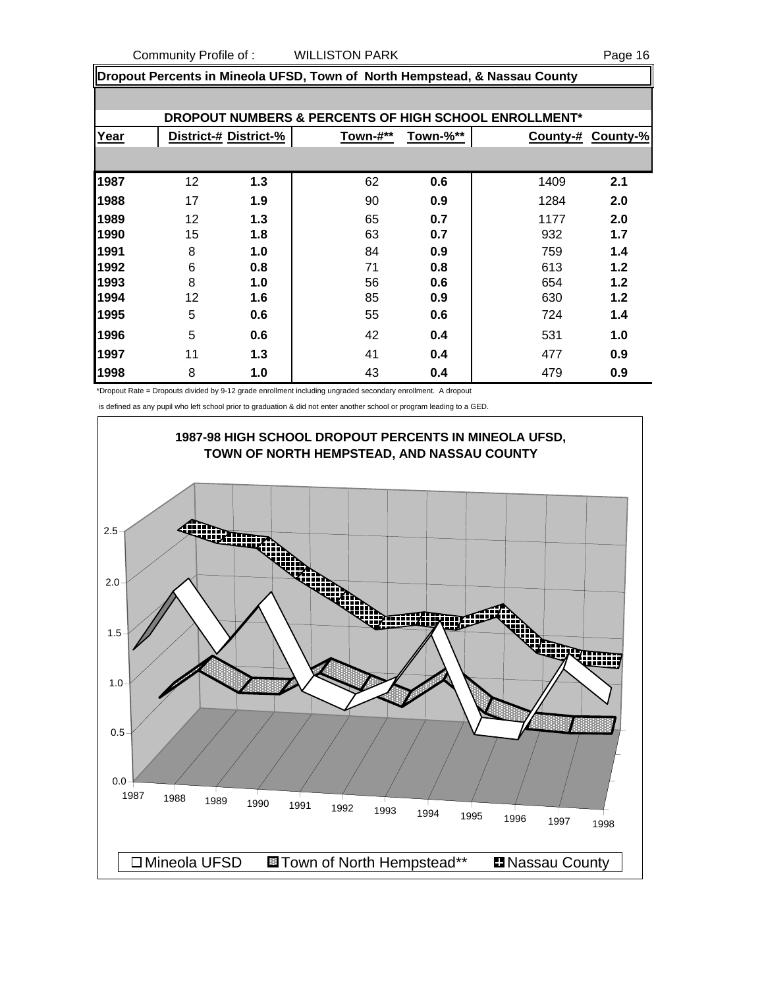| Page |  | -16 |
|------|--|-----|
|      |  |     |

|      | Dropout Percents in Mineola UFSD, Town of North Hempstead, & Nassau County |                       |          |          |                                                                  |          |  |  |
|------|----------------------------------------------------------------------------|-----------------------|----------|----------|------------------------------------------------------------------|----------|--|--|
|      |                                                                            |                       |          |          |                                                                  |          |  |  |
|      |                                                                            |                       |          |          | <b>DROPOUT NUMBERS &amp; PERCENTS OF HIGH SCHOOL ENROLLMENT*</b> |          |  |  |
| Year |                                                                            | District-# District-% | Town-#** | Town-%** | County-#                                                         | County-% |  |  |
|      |                                                                            |                       |          |          |                                                                  |          |  |  |
| 1987 | 12                                                                         | 1.3                   | 62       | 0.6      | 1409                                                             | 2.1      |  |  |
| 1988 | 17                                                                         | 1.9                   | 90       | 0.9      | 1284                                                             | 2.0      |  |  |
| 1989 | 12                                                                         | 1.3                   | 65       | 0.7      | 1177                                                             | 2.0      |  |  |
| 1990 | 15                                                                         | 1.8                   | 63       | 0.7      | 932                                                              | 1.7      |  |  |
| 1991 | 8                                                                          | 1.0                   | 84       | 0.9      | 759                                                              | 1.4      |  |  |
| 1992 | 6                                                                          | 0.8                   | 71       | 0.8      | 613                                                              | 1.2      |  |  |
| 1993 | 8                                                                          | 1.0                   | 56       | 0.6      | 654                                                              | 1.2      |  |  |
| 1994 | 12                                                                         | 1.6                   | 85       | 0.9      | 630                                                              | 1.2      |  |  |
| 1995 | 5                                                                          | 0.6                   | 55       | 0.6      | 724                                                              | 1.4      |  |  |
| 1996 | 5                                                                          | 0.6                   | 42       | 0.4      | 531                                                              | 1.0      |  |  |
| 1997 | 11                                                                         | 1.3                   | 41       | 0.4      | 477                                                              | 0.9      |  |  |
| 1998 | 8                                                                          | 1.0                   | 43       | 0.4      | 479                                                              | 0.9      |  |  |

\*Dropout Rate = Dropouts divided by 9-12 grade enrollment including ungraded secondary enrollment. A dropout

is defined as any pupil who left school prior to graduation & did not enter another school or program leading to a GED.

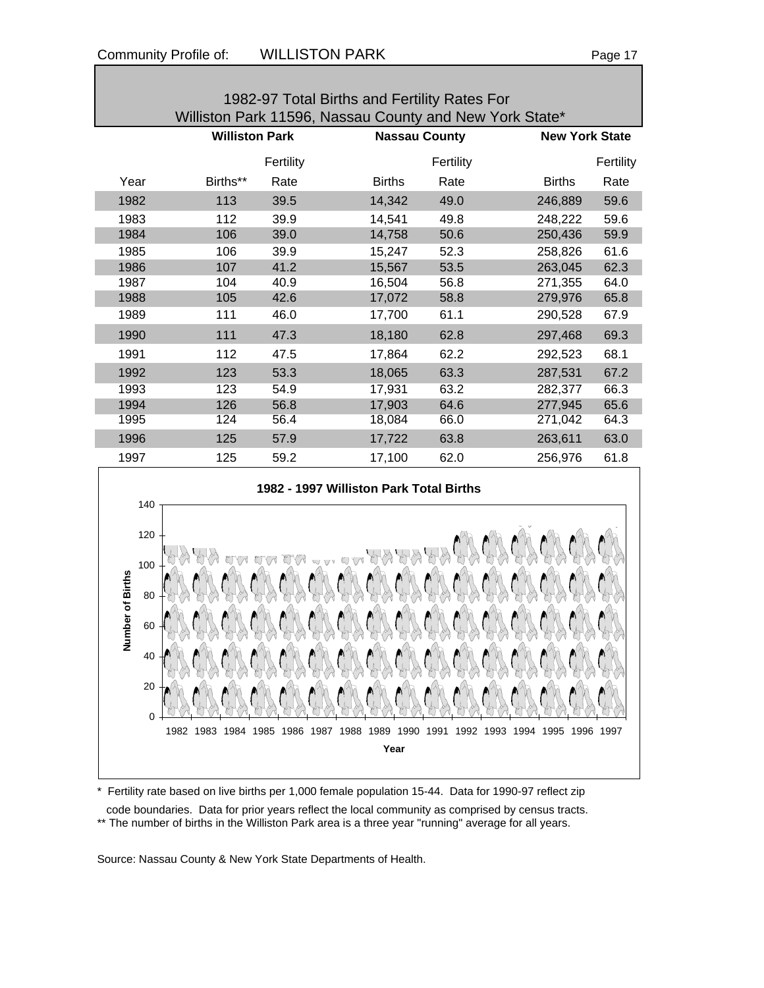| 1982-97 Total Births and Fertility Rates For |                                                         |           |               |                      |                       |           |  |  |  |  |
|----------------------------------------------|---------------------------------------------------------|-----------|---------------|----------------------|-----------------------|-----------|--|--|--|--|
|                                              | Williston Park 11596, Nassau County and New York State* |           |               |                      |                       |           |  |  |  |  |
|                                              | <b>Williston Park</b>                                   |           |               | <b>Nassau County</b> | <b>New York State</b> |           |  |  |  |  |
|                                              |                                                         | Fertility |               | Fertility            |                       | Fertility |  |  |  |  |
| Year                                         | Births**                                                | Rate      | <b>Births</b> | Rate                 | <b>Births</b>         | Rate      |  |  |  |  |
| 1982                                         | 113                                                     | 39.5      | 14,342        | 49.0                 | 246,889               | 59.6      |  |  |  |  |
| 1983                                         | 112                                                     | 39.9      | 14,541        | 49.8                 | 248,222               | 59.6      |  |  |  |  |
| 1984                                         | 106                                                     | 39.0      | 14,758        | 50.6                 | 250,436               | 59.9      |  |  |  |  |
| 1985                                         | 106                                                     | 39.9      | 15,247        | 52.3                 | 258,826               | 61.6      |  |  |  |  |
| 1986                                         | 107                                                     | 41.2      | 15,567        | 53.5                 | 263,045               | 62.3      |  |  |  |  |
| 1987                                         | 104                                                     | 40.9      | 16,504        | 56.8                 | 271,355               | 64.0      |  |  |  |  |
| 1988                                         | 105                                                     | 42.6      | 17,072        | 58.8                 | 279,976               | 65.8      |  |  |  |  |
| 1989                                         | 111                                                     | 46.0      | 17,700        | 61.1                 | 290,528               | 67.9      |  |  |  |  |
| 1990                                         | 111                                                     | 47.3      | 18,180        | 62.8                 | 297,468               | 69.3      |  |  |  |  |
| 1991                                         | 112                                                     | 47.5      | 17,864        | 62.2                 | 292,523               | 68.1      |  |  |  |  |
| 1992                                         | 123                                                     | 53.3      | 18,065        | 63.3                 | 287,531               | 67.2      |  |  |  |  |
| 1993                                         | 123                                                     | 54.9      | 17,931        | 63.2                 | 282,377               | 66.3      |  |  |  |  |
| 1994                                         | 126                                                     | 56.8      | 17,903        | 64.6                 | 277,945               | 65.6      |  |  |  |  |
| 1995                                         | 124                                                     | 56.4      | 18,084        | 66.0                 | 271,042               | 64.3      |  |  |  |  |
| 1996                                         | 125                                                     | 57.9      | 17,722        | 63.8                 | 263,611               | 63.0      |  |  |  |  |
| 1997                                         | 125                                                     | 59.2      | 17,100        | 62.0                 | 256,976               | 61.8      |  |  |  |  |



\* Fertility rate based on live births per 1,000 female population 15-44. Data for 1990-97 reflect zip

 code boundaries. Data for prior years reflect the local community as comprised by census tracts. \*\* The number of births in the Williston Park area is a three year "running" average for all years.

Source: Nassau County & New York State Departments of Health.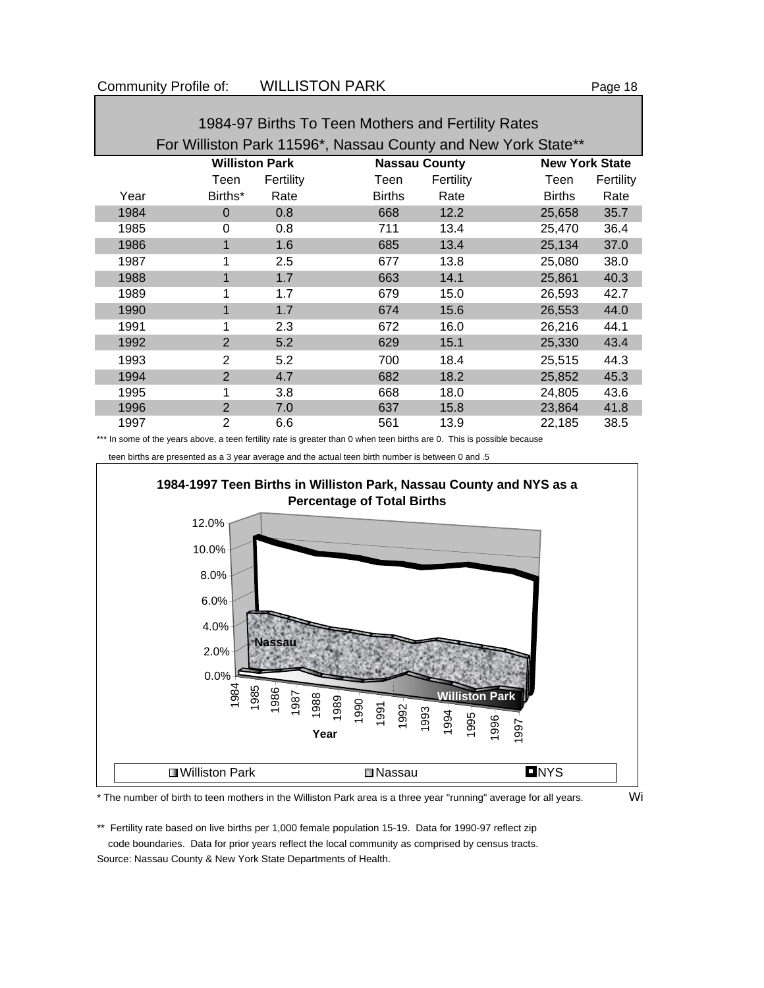| 1984-97 Births To Teen Mothers and Fertility Rates |                                                               |           |               |                      |               |                       |  |  |  |
|----------------------------------------------------|---------------------------------------------------------------|-----------|---------------|----------------------|---------------|-----------------------|--|--|--|
|                                                    | For Williston Park 11596*, Nassau County and New York State** |           |               |                      |               |                       |  |  |  |
|                                                    | <b>Williston Park</b>                                         |           |               | <b>Nassau County</b> |               | <b>New York State</b> |  |  |  |
|                                                    | Teen                                                          | Fertility | Teen          | Fertility            | Teen          | Fertility             |  |  |  |
| Year                                               | Births*                                                       | Rate      | <b>Births</b> | Rate                 | <b>Births</b> | Rate                  |  |  |  |
| 1984                                               | $\Omega$                                                      | 0.8       | 668           | 12.2                 | 25,658        | 35.7                  |  |  |  |
| 1985                                               | $\Omega$                                                      | 0.8       | 711           | 13.4                 | 25,470        | 36.4                  |  |  |  |
| 1986                                               |                                                               | 1.6       | 685           | 13.4                 | 25,134        | 37.0                  |  |  |  |
| 1987                                               |                                                               | $2.5\,$   | 677           | 13.8                 | 25,080        | 38.0                  |  |  |  |
| 1988                                               |                                                               | 1.7       | 663           | 14.1                 | 25,861        | 40.3                  |  |  |  |
| 1989                                               | 1                                                             | 1.7       | 679           | 15.0                 | 26,593        | 42.7                  |  |  |  |
| 1990                                               | 1                                                             | 1.7       | 674           | 15.6                 | 26,553        | 44.0                  |  |  |  |
| 1991                                               |                                                               | 2.3       | 672           | 16.0                 | 26,216        | 44.1                  |  |  |  |
| 1992                                               | 2                                                             | 5.2       | 629           | 15.1                 | 25,330        | 43.4                  |  |  |  |
| 1993                                               | 2                                                             | 5.2       | 700           | 18.4                 | 25,515        | 44.3                  |  |  |  |
| 1994                                               | 2                                                             | 4.7       | 682           | 18.2                 | 25,852        | 45.3                  |  |  |  |
| 1995                                               |                                                               | 3.8       | 668           | 18.0                 | 24,805        | 43.6                  |  |  |  |
| 1996                                               | $\overline{2}$                                                | 7.0       | 637           | 15.8                 | 23,864        | 41.8                  |  |  |  |
| 1997                                               | $\overline{2}$                                                | 6.6       | 561           | 13.9                 | 22,185        | 38.5                  |  |  |  |

1984-97 Births To Teen Mothers and Fertility Rates

\*\*\* In some of the years above, a teen fertility rate is greater than 0 when teen births are 0. This is possible because





\* The number of birth to teen mothers in the Williston Park area is a three year "running" average for all years. Wi

\*\* Fertility rate based on live births per 1,000 female population 15-19. Data for 1990-97 reflect zip code boundaries. Data for prior years reflect the local community as comprised by census tracts.